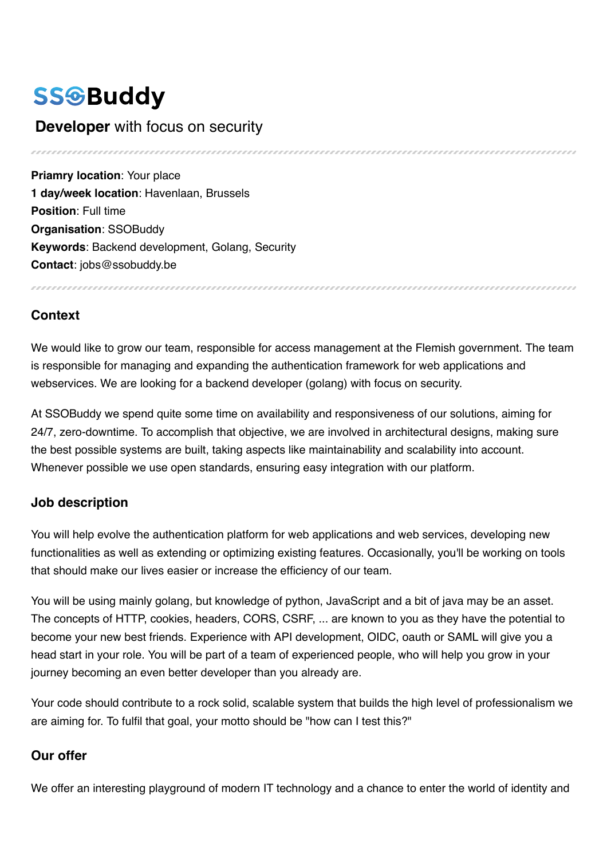# **SSGBuddy**

# **Developer** with focus on security

**Priamry location: Your place 1 day/week location**: Havenlaan, Brussels **Position**: Full time **Organisation**: SSOBuddy **Keywords**: Backend development, Golang, Security **Contact**: jobs@ssobuddy.be

## **Context**

We would like to grow our team, responsible for access management at the Flemish government. The team is responsible for managing and expanding the authentication framework for web applications and webservices. We are looking for a backend developer (golang) with focus on security.

At SSOBuddy we spend quite some time on availability and responsiveness of our solutions, aiming for 24/7, zero-downtime. To accomplish that objective, we are involved in architectural designs, making sure the best possible systems are built, taking aspects like maintainability and scalability into account. Whenever possible we use open standards, ensuring easy integration with our platform.

#### **Job description**

You will help evolve the authentication platform for web applications and web services, developing new functionalities as well as extending or optimizing existing features. Occasionally, you'll be working on tools that should make our lives easier or increase the efficiency of our team.

You will be using mainly golang, but knowledge of python, JavaScript and a bit of java may be an asset. The concepts of HTTP, cookies, headers, CORS, CSRF, ... are known to you as they have the potential to become your new best friends. Experience with API development, OIDC, oauth or SAML will give you a head start in your role. You will be part of a team of experienced people, who will help you grow in your journey becoming an even better developer than you already are.

Your code should contribute to a rock solid, scalable system that builds the high level of professionalism we are aiming for. To fulfil that goal, your motto should be "how can I test this?"

#### **Our offer**

We offer an interesting playground of modern IT technology and a chance to enter the world of identity and